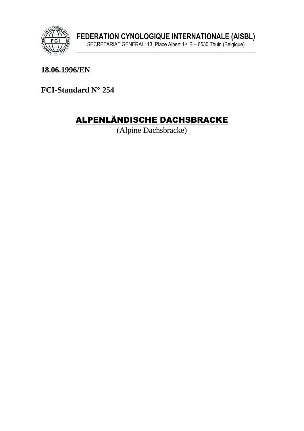

18.06.1996/EN

FCI-Standard N° 254

# **ALPENLÄNDISCHE DACHSBRACKE**

(Alpine Dachsbracke)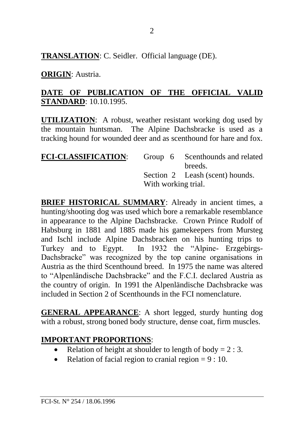**TRANSLATION**: C. Seidler. Official language (DE).

## **ORIGIN**: Austria.

## **DATE OF PUBLICATION OF THE OFFICIAL VALID STANDARD**: 10.10.1995.

**UTILIZATION**: A robust, weather resistant working dog used by the mountain huntsman. The Alpine Dachsbracke is used as a tracking hound for wounded deer and as scenthound for hare and fox.

| <b>FCI-CLASSIFICATION:</b> |                     | Group 6 Scenthounds and related |
|----------------------------|---------------------|---------------------------------|
|                            |                     | breeds.                         |
|                            |                     | Section 2 Leash (scent) hounds. |
|                            | With working trial. |                                 |

**BRIEF HISTORICAL SUMMARY:** Already in ancient times, a hunting/shooting dog was used which bore a remarkable resemblance in appearance to the Alpine Dachsbracke. Crown Prince Rudolf of Habsburg in 1881 and 1885 made his gamekeepers from Mursteg and Ischl include Alpine Dachsbracken on his hunting trips to Turkey and to Egypt. In 1932 the "Alpine- Erzgebirgs-Dachsbracke" was recognized by the top canine organisations in Austria as the third Scenthound breed. In 1975 the name was altered to "Alpenländische Dachsbracke" and the F.C.I. declared Austria as the country of origin. In 1991 the Alpenländische Dachsbracke was included in Section 2 of Scenthounds in the FCI nomenclature.

**GENERAL APPEARANCE**: A short legged, sturdy hunting dog with a robust, strong boned body structure, dense coat, firm muscles.

## **IMPORTANT PROPORTIONS**:

- Relation of height at shoulder to length of body =  $2:3$ .
- Relation of facial region to cranial region  $= 9 : 10$ .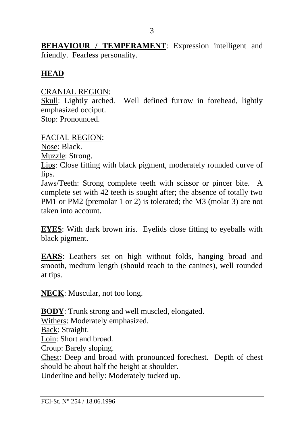**BEHAVIOUR / TEMPERAMENT:** Expression intelligent and friendly. Fearless personality.

## **HEAD**

#### CRANIAL REGION:

Skull: Lightly arched. Well defined furrow in forehead, lightly emphasized occiput. Stop: Pronounced.

FACIAL REGION:

Nose: Black.

Muzzle: Strong.

Lips: Close fitting with black pigment, moderately rounded curve of lips.

Jaws/Teeth: Strong complete teeth with scissor or pincer bite. A complete set with 42 teeth is sought after; the absence of totally two PM1 or PM2 (premolar 1 or 2) is tolerated; the M3 (molar 3) are not taken into account.

**EYES**: With dark brown iris. Eyelids close fitting to eyeballs with black pigment.

**EARS**: Leathers set on high without folds, hanging broad and smooth, medium length (should reach to the canines), well rounded at tips.

**NECK**: Muscular, not too long.

**BODY**: Trunk strong and well muscled, elongated.

Withers: Moderately emphasized.

Back: Straight.

Loin: Short and broad.

Croup: Barely sloping.

Chest: Deep and broad with pronounced forechest. Depth of chest should be about half the height at shoulder.

Underline and belly: Moderately tucked up.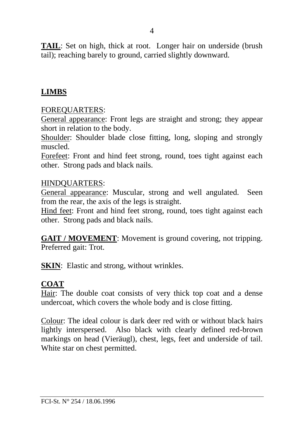**TAIL**: Set on high, thick at root. Longer hair on underside (brush tail); reaching barely to ground, carried slightly downward.

#### **LIMBS**

#### FOREQUARTERS:

General appearance: Front legs are straight and strong; they appear short in relation to the body.

Shoulder: Shoulder blade close fitting, long, sloping and strongly muscled.

Forefeet: Front and hind feet strong, round, toes tight against each other. Strong pads and black nails.

#### HINDQUARTERS:

General appearance: Muscular, strong and well angulated. Seen from the rear, the axis of the legs is straight.

Hind feet: Front and hind feet strong, round, toes tight against each other. Strong pads and black nails.

**GAIT / MOVEMENT**: Movement is ground covering, not tripping. Preferred gait: Trot.

**SKIN**: Elastic and strong, without wrinkles.

#### **COAT**

Hair: The double coat consists of very thick top coat and a dense undercoat, which covers the whole body and is close fitting.

Colour: The ideal colour is dark deer red with or without black hairs lightly interspersed. Also black with clearly defined red-brown markings on head (Vieräugl), chest, legs, feet and underside of tail. White star on chest permitted.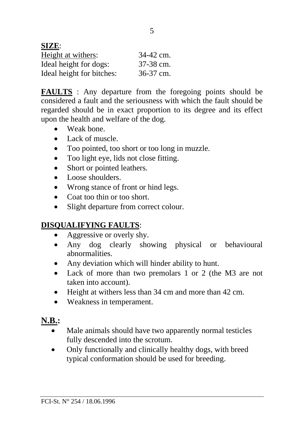| SIZE:                     |           |
|---------------------------|-----------|
| Height at withers:        | 34-42 cm. |
| Ideal height for dogs:    | 37-38 cm. |
| Ideal height for bitches: | 36-37 cm. |

**FAULTS** : Any departure from the foregoing points should be considered a fault and the seriousness with which the fault should be regarded should be in exact proportion to its degree and its effect upon the health and welfare of the dog.

- Weak bone.
- Lack of muscle.
- Too pointed, too short or too long in muzzle.
- Too light eye, lids not close fitting.
- Short or pointed leathers.
- Loose shoulders.
- Wrong stance of front or hind legs.
- Coat too thin or too short.
- Slight departure from correct colour.

# **DISQUALIFYING FAULTS**:

- Aggressive or overly shy.
- Any dog clearly showing physical or behavioural abnormalities.
- Any deviation which will hinder ability to hunt.
- Lack of more than two premolars 1 or 2 (the M3 are not taken into account).
- Height at withers less than 34 cm and more than 42 cm.
- Weakness in temperament.

# **N.B.:**

- Male animals should have two apparently normal testicles fully descended into the scrotum.
- Only functionally and clinically healthy dogs, with breed typical conformation should be used for breeding.